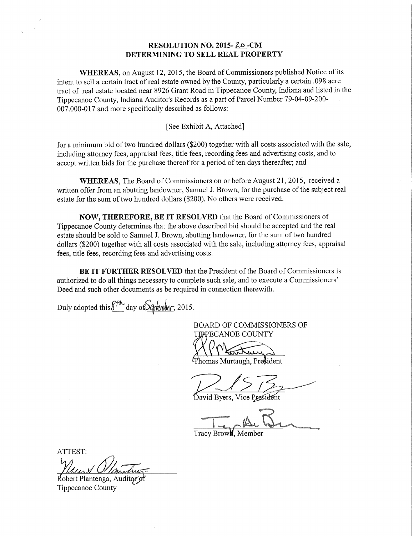## RESOLUTION NO. 2015-20-CM DETERMINING TO SELL REAL PROPERTY

WHEREAS, on August 12, 2015, the Board of Commissioners published Notice of its intent to sell a certain tract of real estate owned by the County, particularly a certain .098 acre tract of real estate located near 8926 Grant Road in Tippecanoe County, Indiana and listed in the Tippecanoe County, Indiana Auditor's Records as <sup>a</sup> part of Parcel Number 79—04-09—200— 007.000-017 and more specifically described as follows:

## [See Exhibit A, Attached]

for <sup>a</sup> minimum bid of two hundred dollars (\$200) together with all costs associated with the sale, including attorney fees, appraisal fees, title fees, recording fees and advertising costs, and to accept written bids for the purchase thereof for a period of ten days thereafter; and

WHEREAS, The Board of Commissioners on or before August 21, 2015, received <sup>a</sup> written offer from an abutting landowner, Samuel J. Brown, for the purchase of the subject real estate for the sum of two hundred dollars (\$200). No others were received.

NOW, THEREFORE, BE IT RESOLVED that the Board of Commissioners of Tippecanoe County determines that the above described bid should be accepted and the real estate should be sold to Samuel J. Brown, abutting landowner, for the sum of two hundred dollars (\$200) together with all costs associated with the sale, including attorney fees, appraisal fees, title fees, recording fees and advertising costs.

BE IT FURTHER RESOLVED that the President of the Board of Commissioners is authorized to do all things necessary to complete such sale, and to execute <sup>a</sup> Commissioners" Deed and such other documents as be required in connection therewith.

Duly adopted this  $\cancel{\text{max}}$  day of  $\cancel{\text{log-1}}$ , 2015.

BOARD OF COMMISSIONERS OF TIPPECANOE COUNTY

nomas Murtaugh, President

David Byers, Vice President

Tracy Brow**l**, Member

ATTEST:  $w \sim \Omega$ 

Robert Plantenga, Auditor of Tippecanoe County